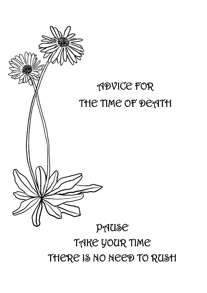# PAUSE TAKE YOUR TIME THERE IS NO NEED TO RUSH

# THE TIME OF DEATH

# ADVICE FOR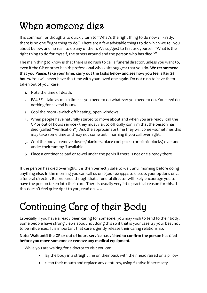# When someone dies

It is common for thoughts to quickly turn to "What's the right thing to do now ?" Firstly, there is no one "right thing to do". There are a few advisable things to do which we tell you about below, and no rush to do any of them. We suggest to first ask yourself "What is the right thing to do for myself, the others around and the person who has died ?"

The main thing to know is that there is no rush to call a funeral director, unless you want to, even if the GP or other health professional who visits suggest that you do. **We recommend that you Pause, take your time, carry out the tasks below and see how you feel after 24 hours.** You will never have this time with your loved one again. Do not rush to have them taken out of your care.

- 1. Note the time of death.
- 2. PAUSE take as much time as you need to do whatever you need to do. You need do nothing for several hours.
- 3. Cool the room switch off heating, open windows.
- 4. When people have naturally started to move about and when you are ready, call the GP or out of hours service - they must visit to officially confirm that the person has died (called "verification"). Ask the approximate time they will come –sometimes this may take some time and may not come until morning if you call overnight.
- 5. Cool the body remove duvets/blankets, place cool packs (or picnic blocks) over and under their tummy if available
- 6. Place a continence pad or towel under the pelvis if there is not one already there.

If the person has died overnight, it is then perfectly safe to wait until morning before doing anything else. In the morning you can call us on 0300 102 4444 to discuss your options or call a funeral director. Be prepared though that a funeral director will likely encourage you to have the person taken into their care. There is usually very little practical reason for this. If this doesn't feel quite right to you, read on …..

# Continuing Care of their Body

Especially if you have already been caring for someone, you may wish to tend to their body. Some people have strong views about not doing this so if that is your case try your best not to be influenced. It is important that carers gently release their caring relationship.

#### **Note: Wait until the GP or out of hours service has visited to confirm the person has died before you move someone or remove any medical equipment.**

While you are waiting for a doctor to visit you can

- lay the body in a straight line on their back with their head raised on a pillow
- clean their mouth and replace any dentures, using fixative if necessary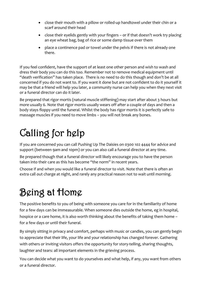- close their mouth with a pillow or rolled-up handtowel under their chin or a scarf around their head
- close their eyelids gently with your fingers or if that doesn't work try placing an eye wheat bag, bag of rice or some damp tissue over them
- place a continence pad or towel under the pelvis if there is not already one there.

If you feel confident, have the support of at least one other person and wish to wash and dress their body you can do this too. Remember not to remove medical equipment until "death verification" has taken place. There is no need to do this though and don't be at all concerned if you do not want to. If you want it done but are not confident to do it yourself it may be that a friend will help you later, a community nurse can help you when they next visit or a funeral director can do it later.

Be prepared that rigor mortis (natural muscle stiffening) may start after about 3 hours but more usually 6. Note that rigor mortis usually wears off after a couple of days and then a body stays floppy until the funeral. Whilst the body has rigor mortis it is perfectly safe to massage muscles if you need to move limbs – you will not break any bones.

# Calling for help

If you are concerned you can call Pushing Up The Daisies on 0300 102 4444 for advice and support (between 9am and 10pm) or you can also call a funeral director at any time.

Be prepared though that a funeral director will likely encourage you to have the person taken into their care as this has become "the norm" in recent years.

Choose if and when *you* would like a funeral director to visit. Note that there is often an extra call out charge at night, and rarely any practical reason not to wait until morning.

# Being at Home

The positive benefits to you of being with someone you care for in the familiarity of home for a few days can be immeasurable. When someone dies outside the home, eg in hospital, hospice or a care home, it is also worth thinking about the benefits of taking them home – for a few days or until their funeral.

By simply sitting in privacy and comfort, perhaps with music or candles, you can gently begin to appreciate that their life, your life and your relationship has changed forever. Gathering with others or inviting visitors offers the opportunity for story-telling, sharing thoughts, laughter and tears: all important elements in the grieving process.

You can decide what you want to do yourselves and what help, if any, you want from others or a funeral director.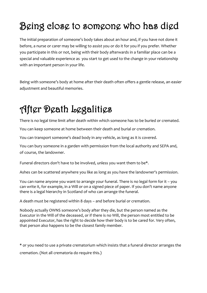# Being close to someone who has died

The initial preparation of someone's body takes about an hour and, if you have not done it before, a nurse or carer may be willing to assist you or do it for you if you prefer. Whether you participate in this or not, being with their body afterwards in a familiar place can be a special and valuable experience as you start to get used to the change in your relationship with an important person in your life.

Being with someone's body at home after their death often offers a gentle release, an easier adjustment and beautiful memories.

# After Death Legalities

There is no legal time limit after death within which someone has to be buried or cremated.

You can keep someone at home between their death and burial or cremation.

You can transport someone's dead body in any vehicle, as long as it is covered.

You can bury someone in a garden with permission from the local authority and SEPA and, of course, the landowner.

Funeral directors don't have to be involved, unless you want them to be\*.

Ashes can be scattered anywhere you like as long as you have the landowner's permission.

You can name anyone you want to arrange your funeral. There is no legal form for it – you can write it, for example, in a Will or on a signed piece of paper. If you don't name anyone there is a legal hierarchy in Scotland of who can arrange the funeral.

A death must be registered within 8 days – and before burial or cremation.

Nobody actually OWNS someone's body after they die, but the person named as the Executor in the Will of the deceased, or if there is no Will, the person most entitled to be appointed Executor, has the right to decide how their body is to be cared for. Very often, that person also happens to be the closest family member.

\* or you need to use a private crematorium which insists that a funeral director arranges the cremation. (Not all crematoria do require this.)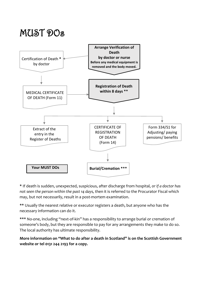## MUST DOs



**\*** If death is sudden, unexpected, suspicious, after discharge from hospital, *or if a doctor has not seen the person within the past 14 days,* then it is referred to the Procurator Fiscal which may, but not necessarily, result in a post-mortem examination.

**\*\*** Usually the nearest relative or executor registers a death, but anyone who has the necessary information can do it.

**\*\*\*** No-one, including "next-of-kin" has a responsibility to arrange burial or cremation of someone's body, but they are responsible to pay for any arrangements they make to do so. The local authority has ultimate responsibility.

**More information on "What to do after a death in Scotland" is on the Scottish Government website or tel 0131 244 2193 for a copy.**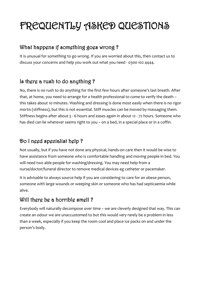# FREQUENTLY ASKED QUESTIONS

## What happens if something goes wrong?

It is unusual for something to go wrong. If you are worried about this, then contact us to discuss your concerns and help you work out what you need - 0300 102 4444.

## Is there a rush to do anything ?

No, there is no rush to do anything for the first few hours after someone's last breath. After that, at home, you need to arrange for a health professional to come to verify the death – this takes about 10 minutes. Washing and dressing is done most easily when there is no *rigor*  mortis (stiffness), but this is not essential. Stiff muscles can be moved by massaging them. Stiffness begins after about 3 - 6 hours and eases again in about 12 - 72 hours. Someone who has died can lie wherever seems right to you – on a bed, in a special place or in a coffin.

## Do I need specialist help ?

Not usually, but if you have not done any physical, hands-on care then it would be wise to have assistance from someone who is comfortable handling and moving people in bed. You will need two able people for washing/dressing. You may need help from a nurse/doctor/funeral director to remove medical devices eg catheter or pacemaker.

It is advisable to always source help if you are considering to care for an obese person, someone with large wounds or weeping skin or someone who has had septicaemia while alive.

## Will there be a horrible smell ?

Everybody will naturally decompose over time – we are cleverly designed that way. This can create an odour we are unaccustomed to but this would very rarely be a problem in less than a week, especially if you keep the room cool and place ice packs on and under the person's body.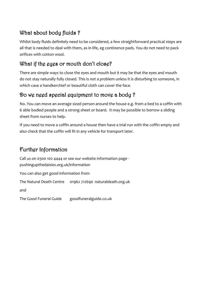## What about body fluids ?

Whilst body fluids definitely need to be considered, a few straightforward practical steps are all that is needed to deal with them, as in life, eg continence pads. You do not need to pack orifices with cotton wool.

## What if the eyes or mouth don't close?

There are simple ways to close the eyes and mouth but it may be that the eyes and mouth do not stay naturally fully closed. This is not a problem unless it is disturbing to someone, in which case a handkerchief or beautiful cloth can cover the face.

## Do we need special equipment to move a body ?

No. You can move an average sized person around the house e.g. from a bed to a coffin with 6 able bodied people and a strong sheet or board. It may be possible to borrow a sliding sheet from nurses to help.

If you need to move a coffin around a house then have a trial run with the coffin empty and also check that the coffin will fit in any vehicle for transport later.

## Further Information

Call us on 0300 102 4444 or see our website information page [pushingupthedaisies.org.uk/information](http://www.pushingupthedaisies.org.uk/information) You can also get good information from The Natural Death Centre 01962 712690 naturaldeath.org.uk and The Good Funeral Guide goodfuneralguide.co.uk